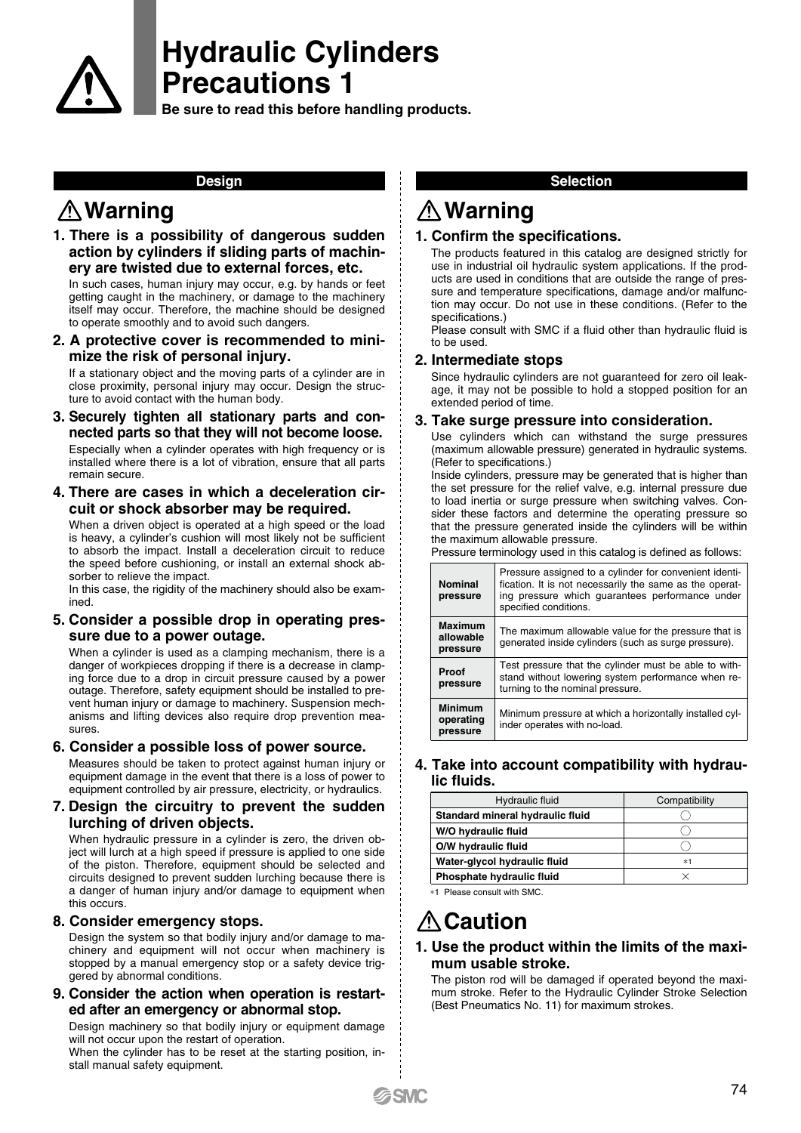

# **Hydraulic Cylinders Precautions 1**

**Be sure to read this before handling products.** 

# **Warning Warning**

**1. There is a possibility of dangerous sudden action by cylinders if sliding parts of machinery are twisted due to external forces, etc.**

In such cases, human injury may occur, e.g. by hands or feet getting caught in the machinery, or damage to the machinery itself may occur. Therefore, the machine should be designed to operate smoothly and to avoid such dangers.

**2. A protective cover is recommended to minimize the risk of personal injury.**

If a stationary object and the moving parts of a cylinder are in close proximity, personal injury may occur. Design the structure to avoid contact with the human body.

- **3. Securely tighten all stationary parts and connected parts so that they will not become loose.** Especially when a cylinder operates with high frequency or is installed where there is a lot of vibration, ensure that all parts remain secure.
- **4. There are cases in which a deceleration circuit or shock absorber may be required.**

When a driven object is operated at a high speed or the load is heavy, a cylinder's cushion will most likely not be sufficient to absorb the impact. Install a deceleration circuit to reduce the speed before cushioning, or install an external shock absorber to relieve the impact.

In this case, the rigidity of the machinery should also be examined.

#### **5. Consider a possible drop in operating pressure due to a power outage.**

When a cylinder is used as a clamping mechanism, there is a danger of workpieces dropping if there is a decrease in clamping force due to a drop in circuit pressure caused by a power outage. Therefore, safety equipment should be installed to prevent human injury or damage to machinery. Suspension mechanisms and lifting devices also require drop prevention measures.

### **6. Consider a possible loss of power source.**

Measures should be taken to protect against human injury or equipment damage in the event that there is a loss of power to equipment controlled by air pressure, electricity, or hydraulics.

#### **7. Design the circuitry to prevent the sudden lurching of driven objects.**

When hydraulic pressure in a cylinder is zero, the driven object will lurch at a high speed if pressure is applied to one side of the piston. Therefore, equipment should be selected and circuits designed to prevent sudden lurching because there is a danger of human injury and/or damage to equipment when this occurs.

### **8. Consider emergency stops.**

Design the system so that bodily injury and/or damage to machinery and equipment will not occur when machinery is stopped by a manual emergency stop or a safety device triggered by abnormal conditions.

#### **9. Consider the action when operation is restarted after an emergency or abnormal stop.**

Design machinery so that bodily injury or equipment damage will not occur upon the restart of operation.

When the cylinder has to be reset at the starting position, install manual safety equipment.

### **Design Selection**

#### **1. Confirm the specifications.**

The products featured in this catalog are designed strictly for use in industrial oil hydraulic system applications. If the products are used in conditions that are outside the range of pressure and temperature specifications, damage and/or malfunction may occur. Do not use in these conditions. (Refer to the specifications.)

Please consult with SMC if a fluid other than hydraulic fluid is to be used.

#### **2. Intermediate stops**

Since hydraulic cylinders are not guaranteed for zero oil leakage, it may not be possible to hold a stopped position for an extended period of time.

#### **3. Take surge pressure into consideration.**

Use cylinders which can withstand the surge pressures (maximum allowable pressure) generated in hydraulic systems. (Refer to specifications.)

Inside cylinders, pressure may be generated that is higher than the set pressure for the relief valve, e.g. internal pressure due to load inertia or surge pressure when switching valves. Consider these factors and determine the operating pressure so that the pressure generated inside the cylinders will be within the maximum allowable pressure. Pressure terminology used in this catalog is defined as follows:

|  | <b>Nominal</b><br>pressure              | Pressure assigned to a cylinder for convenient identi-<br>fication. It is not necessarily the same as the operat-<br>ing pressure which quarantees performance under<br>specified conditions. |
|--|-----------------------------------------|-----------------------------------------------------------------------------------------------------------------------------------------------------------------------------------------------|
|  | <b>Maximum</b><br>allowable<br>pressure | The maximum allowable value for the pressure that is<br>generated inside cylinders (such as surge pressure).                                                                                  |
|  | Proof<br>pressure                       | Test pressure that the cylinder must be able to with-<br>stand without lowering system performance when re-<br>turning to the nominal pressure.                                               |
|  | <b>Minimum</b><br>operating<br>pressure | Minimum pressure at which a horizontally installed cyl-<br>inder operates with no-load.                                                                                                       |

# **4. Take into account compatibility with hydraulic fluids.**

| Hydraulic fluid                  | Compatibility |
|----------------------------------|---------------|
| Standard mineral hydraulic fluid |               |
| W/O hydraulic fluid              |               |
| O/W hydraulic fluid              |               |
| Water-glycol hydraulic fluid     | $*1$          |
| Phosphate hydraulic fluid        |               |

∗1 Please consult with SMC.

# **Caution**

### **1. Use the product within the limits of the maximum usable stroke.**

The piston rod will be damaged if operated beyond the maximum stroke. Refer to the Hydraulic Cylinder Stroke Selection (Best Pneumatics No. 11) for maximum strokes.

**SMC**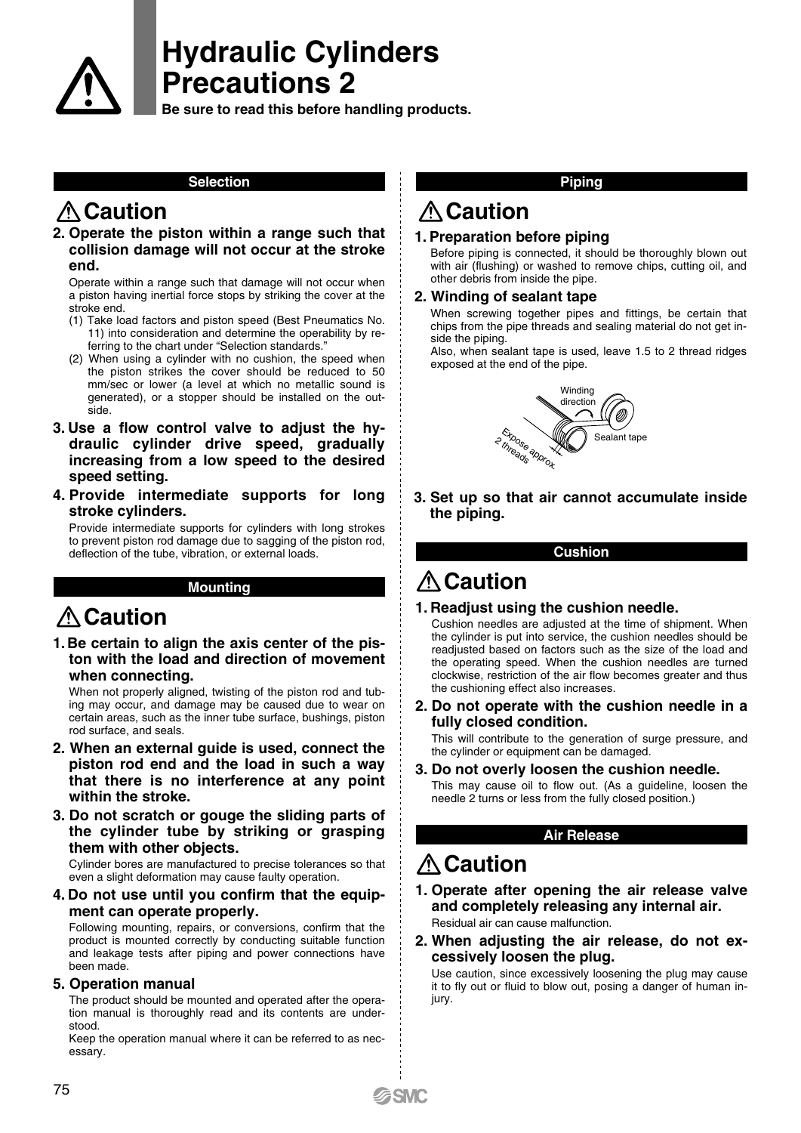

# **Hydraulic Cylinders Precautions 2**

**Be sure to read this before handling products.** 

### **Selection**

# **Caution**

**2. Operate the piston within a range such that collision damage will not occur at the stroke end.**

Operate within a range such that damage will not occur when a piston having inertial force stops by striking the cover at the stroke end.

- (1) Take load factors and piston speed (Best Pneumatics No. 11) into consideration and determine the operability by referring to the chart under "Selection standards."
- (2) When using a cylinder with no cushion, the speed when the piston strikes the cover should be reduced to 50 mm/sec or lower (a level at which no metallic sound is generated), or a stopper should be installed on the outside.
- **3. Use a flow control valve to adjust the hydraulic cylinder drive speed, gradually increasing from a low speed to the desired speed setting.**
- **4. Provide intermediate supports for long stroke cylinders.**

Provide intermediate supports for cylinders with long strokes to prevent piston rod damage due to sagging of the piston rod, deflection of the tube, vibration, or external loads.

### **Mounting**

# **Caution**

### **1. Be certain to align the axis center of the piston with the load and direction of movement when connecting.**

When not properly aligned, twisting of the piston rod and tubing may occur, and damage may be caused due to wear on certain areas, such as the inner tube surface, bushings, piston rod surface, and seals.

- **2. When an external guide is used, connect the piston rod end and the load in such a way that there is no interference at any point within the stroke.**
- **3. Do not scratch or gouge the sliding parts of the cylinder tube by striking or grasping them with other objects.**

Cylinder bores are manufactured to precise tolerances so that even a slight deformation may cause faulty operation.

**4. Do not use until you confirm that the equipment can operate properly.**

Following mounting, repairs, or conversions, confirm that the product is mounted correctly by conducting suitable function and leakage tests after piping and power connections have been made.

### **5. Operation manual**

The product should be mounted and operated after the operation manual is thoroughly read and its contents are understood.

Keep the operation manual where it can be referred to as necessary.

#### **Piping**

# **Caution**

# **1. Preparation before piping**

Before piping is connected, it should be thoroughly blown out with air (flushing) or washed to remove chips, cutting oil, and other debris from inside the pipe.

### **2. Winding of sealant tape**

When screwing together pipes and fittings, be certain that chips from the pipe threads and sealing material do not get inside the piping.

Also, when sealant tape is used, leave 1.5 to 2 thread ridges exposed at the end of the pipe.



**3. Set up so that air cannot accumulate inside the piping.**

**Cushion**

# **Caution**

### **1. Readjust using the cushion needle.**

Cushion needles are adjusted at the time of shipment. When the cylinder is put into service, the cushion needles should be readjusted based on factors such as the size of the load and the operating speed. When the cushion needles are turned clockwise, restriction of the air flow becomes greater and thus the cushioning effect also increases.

**2. Do not operate with the cushion needle in a fully closed condition.**

This will contribute to the generation of surge pressure, and the cylinder or equipment can be damaged.

**3. Do not overly loosen the cushion needle.**

This may cause oil to flow out. (As a guideline, loosen the needle 2 turns or less from the fully closed position.)

### **Air Release**

# **Caution**

- **1. Operate after opening the air release valve and completely releasing any internal air.** Residual air can cause malfunction.
- **2. When adjusting the air release, do not excessively loosen the plug.**

Use caution, since excessively loosening the plug may cause it to fly out or fluid to blow out, posing a danger of human injury.